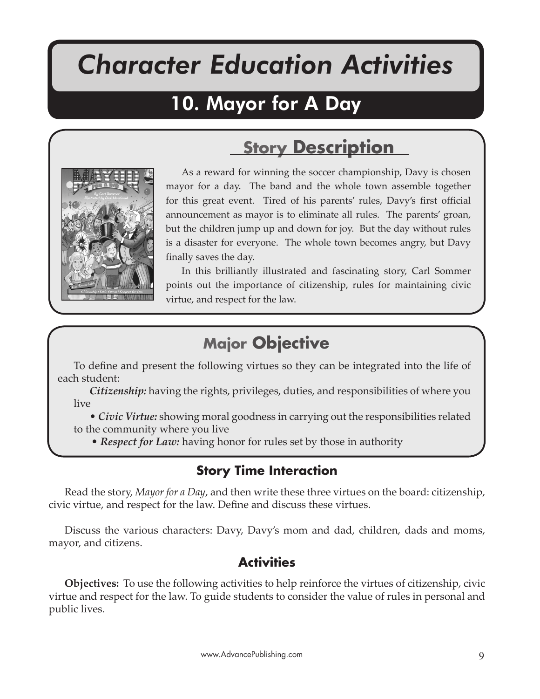# *Character Education Activities*

Mayor For A Day

# 10. Mayor for A Day



As a reward for winning the soccer championship, Davy is chosen mayor for a day. The band and the whole town assemble together for this great event. Tired of his parents' rules, Davy's first official announcement as mayor is to eliminate all rules. The parents' groan, but the children jump up and down for joy. But the day without rules is a disaster for everyone. The whole town becomes angry, but Davy finally saves the day.

**Story Description**

In this brilliantly illustrated and fascinating story, Carl Sommer points out the importance of citizenship, rules for maintaining civic virtue, and respect for the law.

# **Major Objective**

To define and present the following virtues so they can be integrated into the life of each student:

*Citizenship:* having the rights, privileges, duties, and responsibilities of where you live

• *Civic Virtue:* showing moral goodness in carrying out the responsibilities related to the community where you live

• *Respect for Law:* having honor for rules set by those in authority

## **Story Time Interaction**

Read the story, *Mayor for a Day*, and then write these three virtues on the board: citizenship, civic virtue, and respect for the law. Define and discuss these virtues.

Discuss the various characters: Davy, Davy's mom and dad, children, dads and moms, mayor, and citizens.

#### **Activities**

**Objectives:** To use the following activities to help reinforce the virtues of citizenship, civic virtue and respect for the law. To guide students to consider the value of rules in personal and public lives.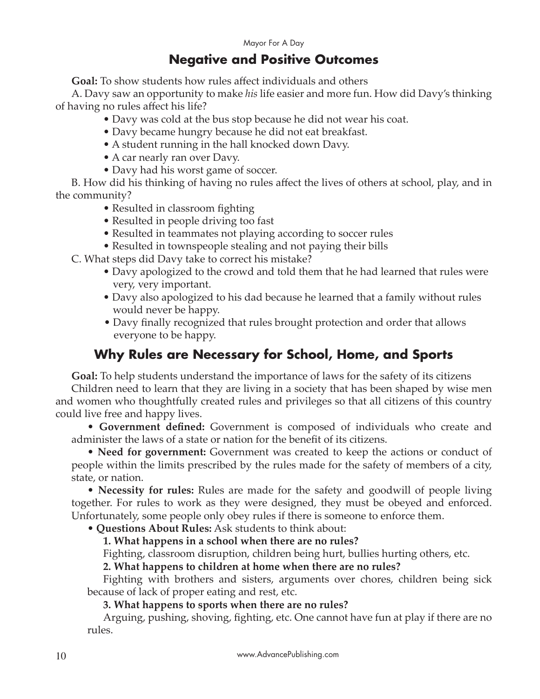#### **Negative and Positive Outcomes**

**Goal:** To show students how rules affect individuals and others

A. Davy saw an opportunity to make *his* life easier and more fun. How did Davy's thinking of having no rules affect his life?

- Davy was cold at the bus stop because he did not wear his coat.
- Davy became hungry because he did not eat breakfast.
- A student running in the hall knocked down Davy.
- A car nearly ran over Davy.
- Davy had his worst game of soccer.

B. How did his thinking of having no rules affect the lives of others at school, play, and in the community?

- Resulted in classroom fighting
- Resulted in people driving too fast
- Resulted in teammates not playing according to soccer rules
- Resulted in townspeople stealing and not paying their bills

C. What steps did Davy take to correct his mistake?

- Davy apologized to the crowd and told them that he had learned that rules were very, very important.
- Davy also apologized to his dad because he learned that a family without rules would never be happy.
- Davy finally recognized that rules brought protection and order that allows everyone to be happy.

# **Why Rules are Necessary for School, Home, and Sports**

**Goal:** To help students understand the importance of laws for the safety of its citizens

Children need to learn that they are living in a society that has been shaped by wise men and women who thoughtfully created rules and privileges so that all citizens of this country could live free and happy lives.

• **Government defined:** Government is composed of individuals who create and administer the laws of a state or nation for the benefit of its citizens.

• **Need for government:** Government was created to keep the actions or conduct of people within the limits prescribed by the rules made for the safety of members of a city, state, or nation.

• **Necessity for rules:** Rules are made for the safety and goodwill of people living together. For rules to work as they were designed, they must be obeyed and enforced. Unfortunately, some people only obey rules if there is someone to enforce them.

• **Questions About Rules:** Ask students to think about:

**1. What happens in a school when there are no rules?** 

Fighting, classroom disruption, children being hurt, bullies hurting others, etc.

**2. What happens to children at home when there are no rules?** 

Fighting with brothers and sisters, arguments over chores, children being sick because of lack of proper eating and rest, etc.

**3. What happens to sports when there are no rules?**

Arguing, pushing, shoving, fighting, etc. One cannot have fun at play if there are no rules.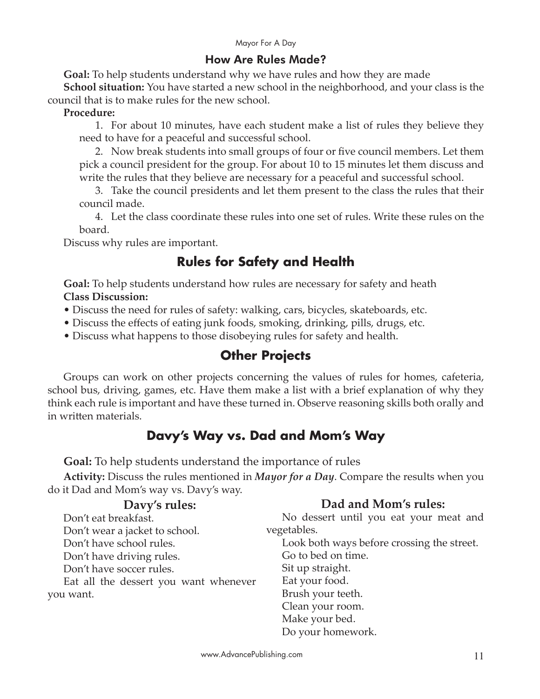#### How Are Rules Made?

**Goal:** To help students understand why we have rules and how they are made

**School situation:** You have started a new school in the neighborhood, and your class is the council that is to make rules for the new school.

#### **Procedure:**

1. For about 10 minutes, have each student make a list of rules they believe they need to have for a peaceful and successful school.

2. Now break students into small groups of four or five council members. Let them pick a council president for the group. For about 10 to 15 minutes let them discuss and write the rules that they believe are necessary for a peaceful and successful school.

3. Take the council presidents and let them present to the class the rules that their council made.

4. Let the class coordinate these rules into one set of rules. Write these rules on the board.

Discuss why rules are important.

# **Rules for Safety and Health**

**Goal:** To help students understand how rules are necessary for safety and heath **Class Discussion:**

• Discuss the need for rules of safety: walking, cars, bicycles, skateboards, etc.

• Discuss the effects of eating junk foods, smoking, drinking, pills, drugs, etc.

• Discuss what happens to those disobeying rules for safety and health.

## **Other Projects**

Groups can work on other projects concerning the values of rules for homes, cafeteria, school bus, driving, games, etc. Have them make a list with a brief explanation of why they think each rule is important and have these turned in. Observe reasoning skills both orally and in written materials.

# **Davy's Way vs. Dad and Mom's Way**

**Goal:** To help students understand the importance of rules

**Activity:** Discuss the rules mentioned in *Mayor for a Day*. Compare the results when you do it Dad and Mom's way vs. Davy's way.

| Davy's rules:                         | Dad and Mom's rules:                       |
|---------------------------------------|--------------------------------------------|
| Don't eat breakfast.                  | No dessert until you eat your meat and     |
| Don't wear a jacket to school.        | vegetables.                                |
| Don't have school rules.              | Look both ways before crossing the street. |
| Don't have driving rules.             | Go to bed on time.                         |
| Don't have soccer rules.              | Sit up straight.                           |
| Eat all the dessert you want whenever | Eat your food.                             |
| you want.                             | Brush your teeth.                          |
|                                       | Clean your room.                           |
|                                       | Make your bed.                             |
|                                       | Do your homework.                          |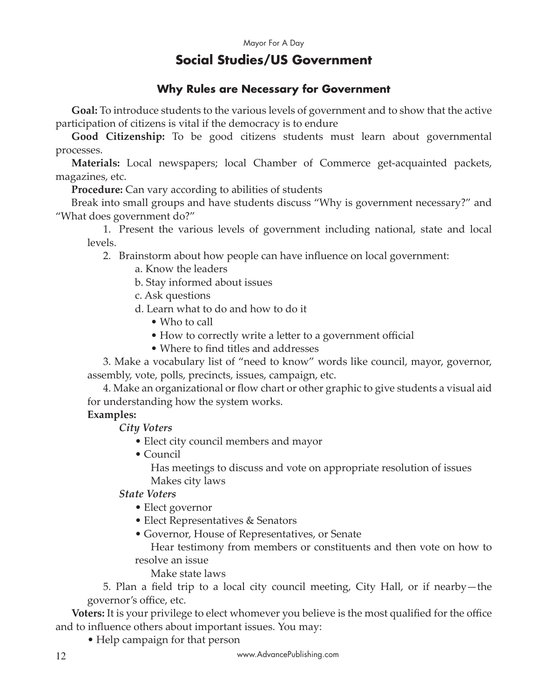## **Social Studies/US Government**

#### **Why Rules are Necessary for Government**

**Goal:** To introduce students to the various levels of government and to show that the active participation of citizens is vital if the democracy is to endure

**Good Citizenship:** To be good citizens students must learn about governmental processes.

**Materials:** Local newspapers; local Chamber of Commerce get-acquainted packets, magazines, etc.

**Procedure:** Can vary according to abilities of students

Break into small groups and have students discuss "Why is government necessary?" and "What does government do?"

1. Present the various levels of government including national, state and local levels.

2. Brainstorm about how people can have influence on local government:

a. Know the leaders

b. Stay informed about issues

c. Ask questions

d. Learn what to do and how to do it

- Who to call
- How to correctly write a letter to a government official
- Where to find titles and addresses

3. Make a vocabulary list of "need to know" words like council, mayor, governor, assembly, vote, polls, precincts, issues, campaign, etc.

4. Make an organizational or flow chart or other graphic to give students a visual aid for understanding how the system works.

#### **Examples:**

*City Voters* 

- Elect city council members and mayor
- Council

Has meetings to discuss and vote on appropriate resolution of issues Makes city laws

#### *State Voters*

- Elect governor
- Elect Representatives & Senators
- Governor, House of Representatives, or Senate

Hear testimony from members or constituents and then vote on how to resolve an issue

Make state laws

5. Plan a field trip to a local city council meeting, City Hall, or if nearby—the governor's office, etc.

**Voters:** It is your privilege to elect whomever you believe is the most qualified for the office and to influence others about important issues. You may:

• Help campaign for that person